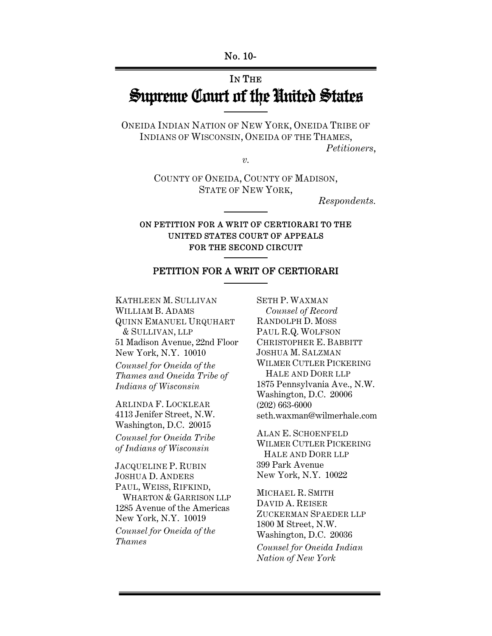# IN THE Supreme Court of the United States

ONEIDA INDIAN NATION OF NEW YORK, ONEIDA TRIBE OF INDIANS OF WISCONSIN, ONEIDA OF THE THAMES, *Petitioners*,

 $\overline{\nu}$ .

COUNTY OF ONEIDA, COUNTY OF MADISON, STATE OF NEW YORK,

*Respondents.* 

## ON PETITION FOR A WRIT OF CERTIORARI TO THE UNITED STATES COURT OF APPEALS FOR THE SECOND CIRCUIT

## PETITION FOR A WRIT OF CERTIORARI

KATHLEEN M. SULLIVAN WILLIAM B. ADAMS QUINN EMANUEL URQUHART & SULLIVAN, LLP 51 Madison Avenue, 22nd Floor New York, N.Y. 10010 *Counsel for Oneida of the Thames and Oneida Tribe of Indians of Wisconsin*

ARLINDA F. LOCKLEAR 4113 Jenifer Street, N.W. Washington, D.C. 20015 *Counsel for Oneida Tribe of Indians of Wisconsin*

JACQUELINE P. RUBIN JOSHUA D. ANDERS PAUL, WEISS, RIFKIND, WHARTON & GARRISON LLP 1285 Avenue of the Americas New York, N.Y. 10019 *Counsel for Oneida of the Thames*

SETH P. WAXMAN *Counsel of Record* RANDOLPH D. MOSS PAUL R.Q. WOLFSON CHRISTOPHER E. BABBITT JOSHUA M. SALZMAN WILMER CUTLER PICKERING HALE AND DORR LLP 1875 Pennsylvania Ave., N.W. Washington, D.C. 20006 (202) 663-6000 seth.waxman@wilmerhale.com

ALAN E. SCHOENFELD WILMER CUTLER PICKERING HALE AND DORR LLP 399 Park Avenue New York, N.Y. 10022

MICHAEL R. SMITH DAVID A. REISER ZUCKERMAN SPAEDER LLP 1800 M Street, N.W. Washington, D.C. 20036 *Counsel for Oneida Indian Nation of New York*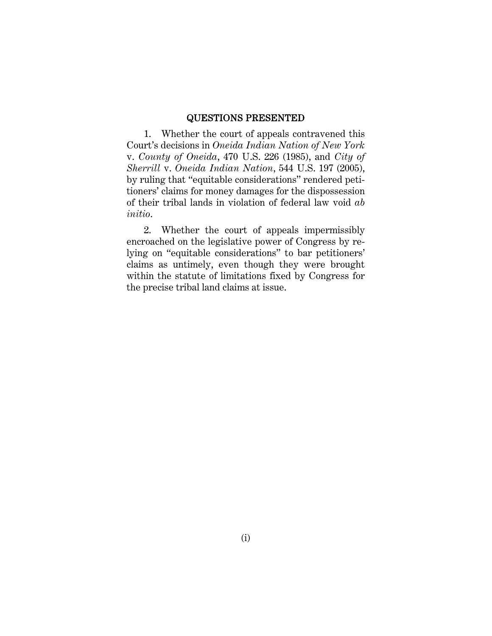#### QUESTIONS PRESENTED

1. Whether the court of appeals contravened this Court's decisions in *Oneida Indian Nation of New York*  v. *County of Oneida*, 470 U.S. 226 (1985), and *City of Sherrill* v. *Oneida Indian Nation*, 544 U.S. 197 (2005), by ruling that "equitable considerations" rendered petitioners' claims for money damages for the dispossession of their tribal lands in violation of federal law void *ab initio*.

2. Whether the court of appeals impermissibly encroached on the legislative power of Congress by relying on "equitable considerations" to bar petitioners' claims as untimely, even though they were brought within the statute of limitations fixed by Congress for the precise tribal land claims at issue.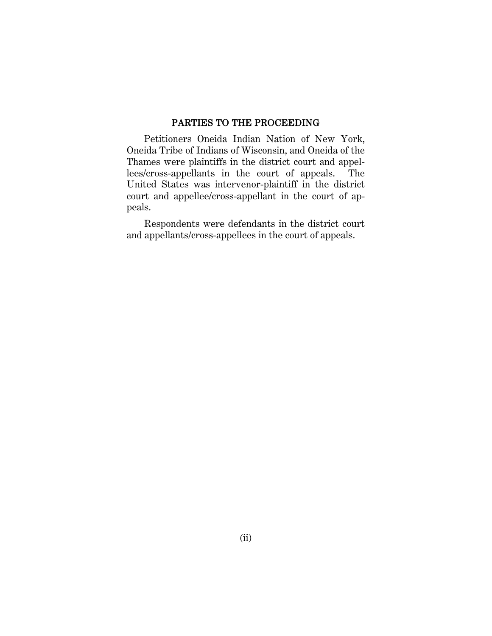### PARTIES TO THE PROCEEDING

Petitioners Oneida Indian Nation of New York, Oneida Tribe of Indians of Wisconsin, and Oneida of the Thames were plaintiffs in the district court and appellees/cross-appellants in the court of appeals. The United States was intervenor-plaintiff in the district court and appellee/cross-appellant in the court of appeals.

Respondents were defendants in the district court and appellants/cross-appellees in the court of appeals.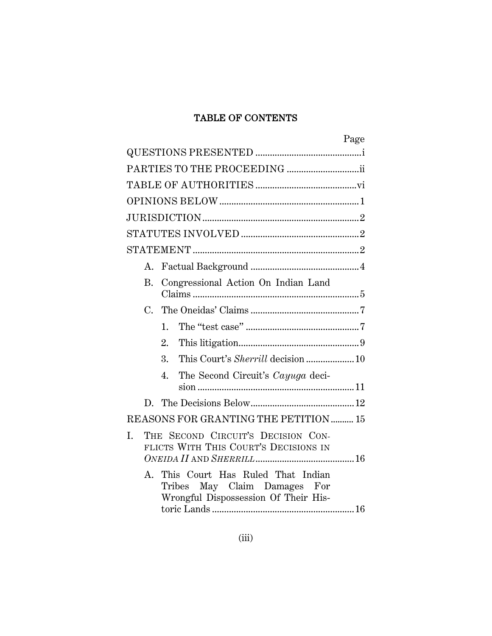## TABLE OF CONTENTS

| Page                                                                                                              |
|-------------------------------------------------------------------------------------------------------------------|
|                                                                                                                   |
|                                                                                                                   |
|                                                                                                                   |
|                                                                                                                   |
|                                                                                                                   |
|                                                                                                                   |
|                                                                                                                   |
| A.                                                                                                                |
| Congressional Action On Indian Land<br>В.                                                                         |
|                                                                                                                   |
| 1.                                                                                                                |
| 2.                                                                                                                |
| 3.                                                                                                                |
| The Second Circuit's Cayuga deci-<br>4.                                                                           |
|                                                                                                                   |
|                                                                                                                   |
| REASONS FOR GRANTING THE PETITION  15                                                                             |
| THE SECOND CIRCUIT'S DECISION CON-<br>L.<br>FLICTS WITH THIS COURT'S DECISIONS IN                                 |
| This Court Has Ruled That Indian<br>A.<br>May Claim Damages For<br>Tribes<br>Wrongful Dispossession Of Their His- |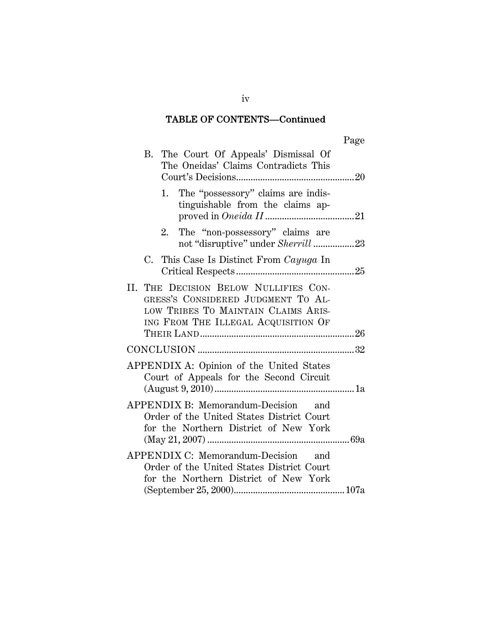## TABLE OF CONTENTS—Continued

| B. The Court Of Appeals' Dismissal Of<br>The Oneidas' Claims Contradicts This                                                                             |  |
|-----------------------------------------------------------------------------------------------------------------------------------------------------------|--|
| The "possessory" claims are indis-<br>1.<br>tinguishable from the claims ap-                                                                              |  |
| The "non-possessory" claims are<br>2.<br>not "disruptive" under Sherrill 23                                                                               |  |
| C. This Case Is Distinct From Cayuga In                                                                                                                   |  |
| II. THE DECISION BELOW NULLIFIES CON-<br>GRESS'S CONSIDERED JUDGMENT TO AL-<br>LOW TRIBES TO MAINTAIN CLAIMS ARIS-<br>ING FROM THE ILLEGAL ACQUISITION OF |  |
|                                                                                                                                                           |  |
| APPENDIX A: Opinion of the United States<br>Court of Appeals for the Second Circuit                                                                       |  |
| APPENDIX B: Memorandum-Decision and<br>Order of the United States District Court<br>for the Northern District of New York                                 |  |
| APPENDIX C: Memorandum-Decision and<br>Order of the United States District Court<br>for the Northern District of New York                                 |  |
|                                                                                                                                                           |  |

iv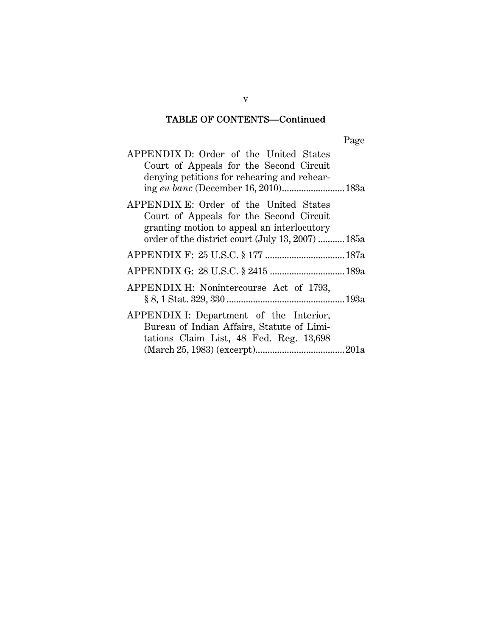## TABLE OF CONTENTS—Continued

| APPENDIX D: Order of the United States<br>Court of Appeals for the Second Circuit<br>denying petitions for rehearing and rehear-                                                     |  |
|--------------------------------------------------------------------------------------------------------------------------------------------------------------------------------------|--|
| APPENDIX E: Order of the United States<br>Court of Appeals for the Second Circuit<br>granting motion to appeal an interlocutory<br>order of the district court (July 13, 2007)  185a |  |
|                                                                                                                                                                                      |  |
| APPENDIX G: 28 U.S.C. § 2415  189a                                                                                                                                                   |  |
| APPENDIX H: Nonintercourse Act of 1793,                                                                                                                                              |  |
| APPENDIX I: Department of the Interior,<br>Bureau of Indian Affairs, Statute of Limi-<br>tations Claim List, 48 Fed. Reg. 13,698                                                     |  |

v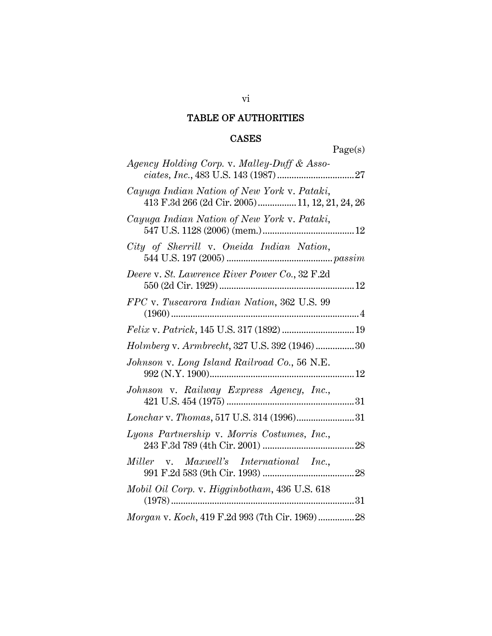# TABLE OF AUTHORITIES

## CASES

Page(s)

| Agency Holding Corp. v. Malley-Duff & Asso-                                                   |
|-----------------------------------------------------------------------------------------------|
| Cayuga Indian Nation of New York v. Pataki,<br>413 F.3d 266 (2d Cir. 2005) 11, 12, 21, 24, 26 |
| Cayuga Indian Nation of New York v. Pataki,                                                   |
| City of Sherrill v. Oneida Indian Nation,                                                     |
| Deere v. St. Lawrence River Power Co., 32 F.2d                                                |
| FPC v. Tuscarora Indian Nation, 362 U.S. 99                                                   |
| Felix v. Patrick, 145 U.S. 317 (1892)  19                                                     |
| Holmberg v. Armbrecht, 327 U.S. 392 (1946)30                                                  |
| Johnson v. Long Island Railroad Co., 56 N.E.                                                  |
| Johnson v. Railway Express Agency, Inc.,                                                      |
|                                                                                               |
| Lyons Partnership v. Morris Costumes, Inc.,                                                   |
| Miller v. Maxwell's International Inc.,                                                       |
| Mobil Oil Corp. v. Higginbotham, 436 U.S. 618                                                 |
| Morgan v. Koch, 419 F.2d 993 (7th Cir. 1969) 28                                               |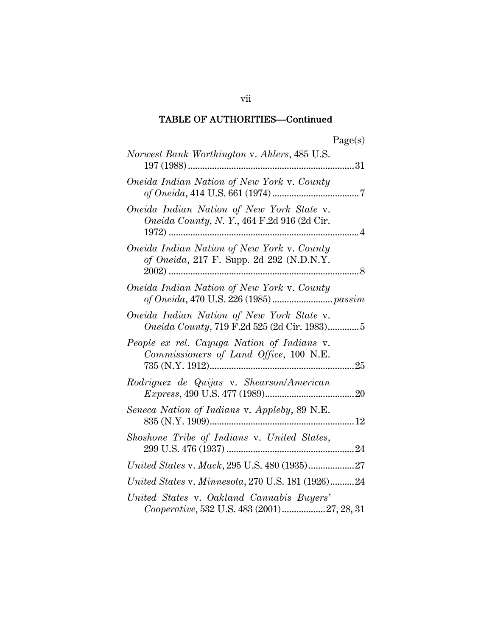| я от<br>÷ |
|-----------|
|-----------|

| Norwest Bank Worthington v. Ahlers, 485 U.S.                                                   |
|------------------------------------------------------------------------------------------------|
| Oneida Indian Nation of New York v. County                                                     |
| Oneida Indian Nation of New York State v.<br><i>Oneida County, N.Y., 464 F.2d 916 (2d Cir.</i> |
| Oneida Indian Nation of New York v. County<br>of Oneida, 217 F. Supp. 2d 292 (N.D.N.Y.         |
| Oneida Indian Nation of New York v. County                                                     |
| Oneida Indian Nation of New York State v.<br>Oneida County, 719 F.2d 525 (2d Cir. 1983)5       |
| People ex rel. Cayuga Nation of Indians v.<br>Commissioners of Land Office, 100 N.E.           |
| Rodriguez de Quijas v. Shearson/American                                                       |
| Seneca Nation of Indians v. Appleby, 89 N.E.                                                   |
| Shoshone Tribe of Indians v. United States,                                                    |
| United States v. Mack, 295 U.S. 480 (1935)27                                                   |
| United States v. Minnesota, 270 U.S. 181 (1926)24                                              |
| United States v. Oakland Cannabis Buyers'<br>Cooperative, 532 U.S. 483 (2001)27, 28, 31        |

vii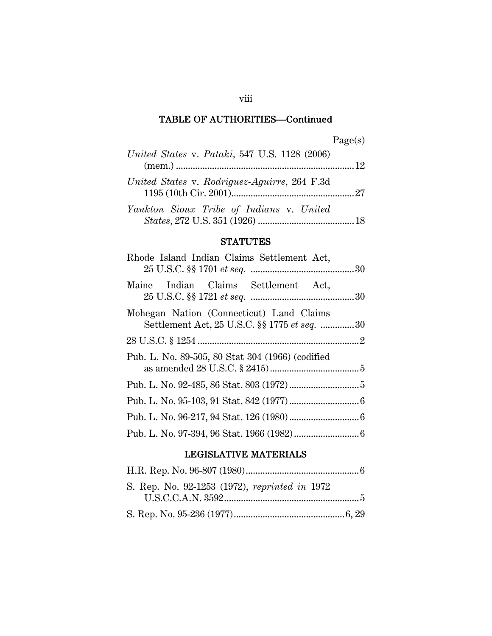| 'aore<br>M.<br>s |
|------------------|
|------------------|

| <i>United States v. Pataki</i> , 547 U.S. 1128 (2006) |  |
|-------------------------------------------------------|--|
| United States v. Rodriguez-Aguirre, 264 F.3d          |  |
| Yankton Sioux Tribe of Indians v. United              |  |

## **STATUTES**

| Rhode Island Indian Claims Settlement Act,                                               |  |
|------------------------------------------------------------------------------------------|--|
| Maine Indian Claims Settlement Act,                                                      |  |
| Mohegan Nation (Connecticut) Land Claims<br>Settlement Act, 25 U.S.C. §§ 1775 et seq. 30 |  |
|                                                                                          |  |
| Pub. L. No. 89-505, 80 Stat 304 (1966) (codified                                         |  |
|                                                                                          |  |
|                                                                                          |  |
|                                                                                          |  |
|                                                                                          |  |

## LEGISLATIVE MATERIALS

| S. Rep. No. 92-1253 (1972), reprinted in 1972 |  |
|-----------------------------------------------|--|
| U.S.C.C.A.N. 3592                             |  |
|                                               |  |

viii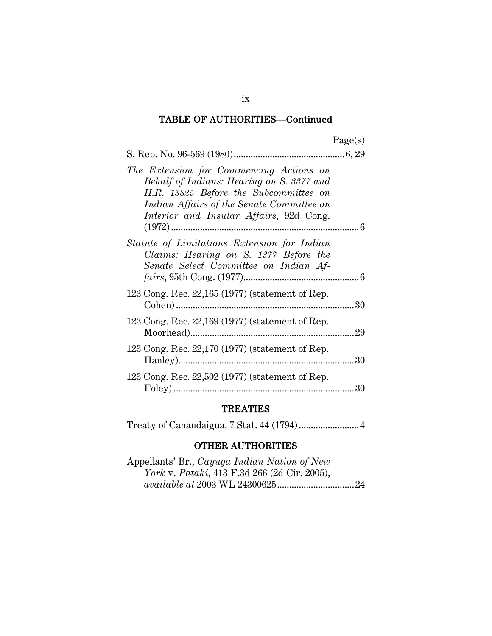| The Extension for Commencing Actions on<br>Behalf of Indians: Hearing on S. 3377 and<br>H.R. 13825 Before the Subcommittee on<br>Indian Affairs of the Senate Committee on<br>Interior and Insular Affairs, 92d Cong. |  |
|-----------------------------------------------------------------------------------------------------------------------------------------------------------------------------------------------------------------------|--|
| Statute of Limitations Extension for Indian<br>Claims: Hearing on S. 1377 Before the<br>Senate Select Committee on Indian Af-                                                                                         |  |
| 123 Cong. Rec. 22,165 (1977) (statement of Rep.                                                                                                                                                                       |  |
| 123 Cong. Rec. 22,169 (1977) (statement of Rep.                                                                                                                                                                       |  |
| 123 Cong. Rec. 22,170 (1977) (statement of Rep.                                                                                                                                                                       |  |
| 123 Cong. Rec. 22,502 (1977) (statement of Rep.                                                                                                                                                                       |  |

## TREATIES

|--|--|

## OTHER AUTHORITIES

| Appellants' Br., Cayuga Indian Nation of New         |  |
|------------------------------------------------------|--|
| <i>York v. Pataki</i> , 413 F.3d 266 (2d Cir. 2005), |  |
|                                                      |  |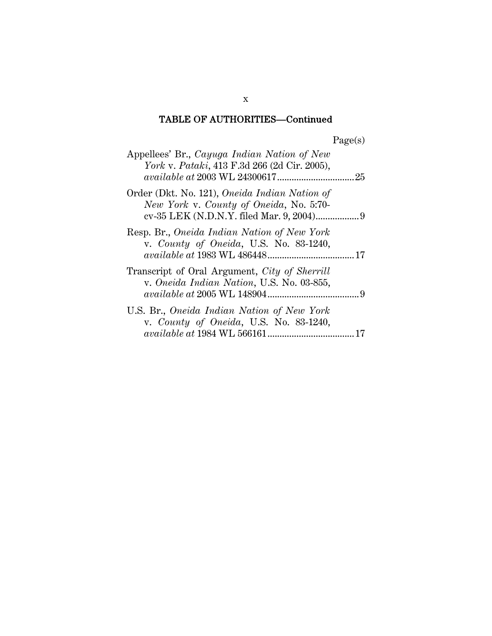| Appellees' Br., Cayuga Indian Nation of New<br><i>York v. Pataki</i> , 413 F.3d 266 (2d Cir. 2005), |  |
|-----------------------------------------------------------------------------------------------------|--|
| Order (Dkt. No. 121), Oneida Indian Nation of<br>New York v. County of Oneida, No. 5:70-            |  |
| Resp. Br., Oneida Indian Nation of New York<br>v. County of Oneida, U.S. No. 83-1240,               |  |
| Transcript of Oral Argument, City of Sherrill<br>v. Oneida Indian Nation, U.S. No. 03-855,          |  |
| U.S. Br., Oneida Indian Nation of New York<br>v. County of Oneida, U.S. No. 83-1240,                |  |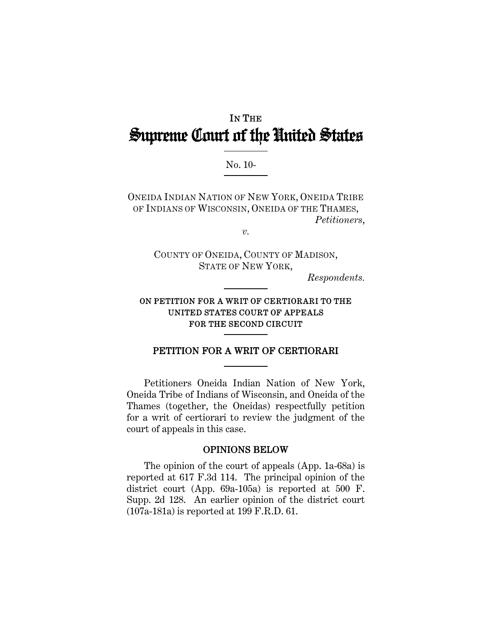# IN THE Supreme Court of the United States

## No. 10-

ONEIDA INDIAN NATION OF NEW YORK, ONEIDA TRIBE OF INDIANS OF WISCONSIN, ONEIDA OF THE THAMES, *Petitioners*,

*v.* 

COUNTY OF ONEIDA, COUNTY OF MADISON, STATE OF NEW YORK,

*Respondents.* 

## ON PETITION FOR A WRIT OF CERTIORARI TO THE UNITED STATES COURT OF APPEALS FOR THE SECOND CIRCUIT

## PETITION FOR A WRIT OF CERTIORARI

Petitioners Oneida Indian Nation of New York, Oneida Tribe of Indians of Wisconsin, and Oneida of the Thames (together, the Oneidas) respectfully petition for a writ of certiorari to review the judgment of the court of appeals in this case.

### OPINIONS BELOW

The opinion of the court of appeals (App. 1a-68a) is reported at 617 F.3d 114. The principal opinion of the district court (App. 69a-105a) is reported at 500 F. Supp. 2d 128. An earlier opinion of the district court (107a-181a) is reported at 199 F.R.D. 61.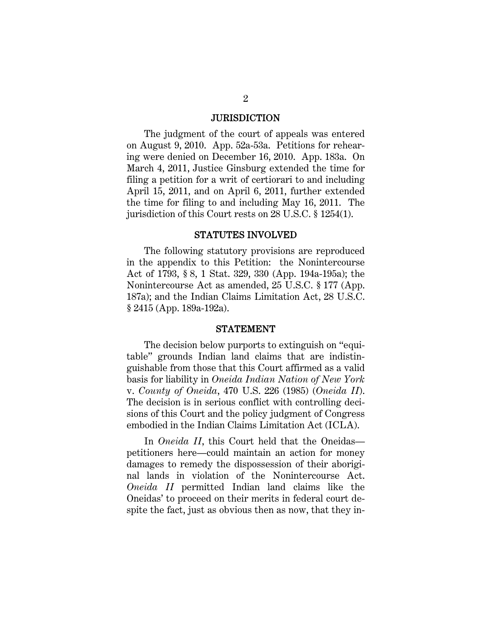#### **JURISDICTION**

The judgment of the court of appeals was entered on August 9, 2010. App. 52a-53a. Petitions for rehearing were denied on December 16, 2010. App. 183a. On March 4, 2011, Justice Ginsburg extended the time for filing a petition for a writ of certiorari to and including April 15, 2011, and on April 6, 2011, further extended the time for filing to and including May 16, 2011. The jurisdiction of this Court rests on 28 U.S.C. § 1254(1).

#### STATUTES INVOLVED

The following statutory provisions are reproduced in the appendix to this Petition: the Nonintercourse Act of 1793, § 8, 1 Stat. 329, 330 (App. 194a-195a); the Nonintercourse Act as amended, 25 U.S.C. § 177 (App. 187a); and the Indian Claims Limitation Act, 28 U.S.C. § 2415 (App. 189a-192a).

#### STATEMENT

The decision below purports to extinguish on "equitable" grounds Indian land claims that are indistinguishable from those that this Court affirmed as a valid basis for liability in *Oneida Indian Nation of New York* v. *County of Oneida*, 470 U.S. 226 (1985) (*Oneida II*). The decision is in serious conflict with controlling decisions of this Court and the policy judgment of Congress embodied in the Indian Claims Limitation Act (ICLA).

In *Oneida II*, this Court held that the Oneidas petitioners here—could maintain an action for money damages to remedy the dispossession of their aboriginal lands in violation of the Nonintercourse Act. *Oneida II* permitted Indian land claims like the Oneidas' to proceed on their merits in federal court despite the fact, just as obvious then as now, that they in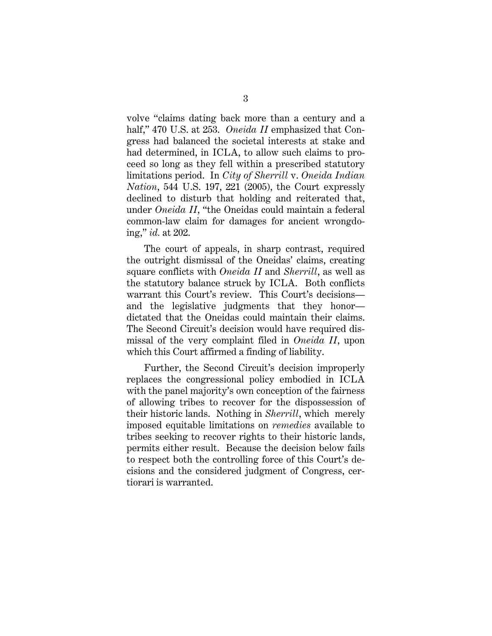volve "claims dating back more than a century and a half," 470 U.S. at 253. *Oneida II* emphasized that Congress had balanced the societal interests at stake and had determined, in ICLA, to allow such claims to proceed so long as they fell within a prescribed statutory limitations period. In *City of Sherrill* v. *Oneida Indian Nation*, 544 U.S. 197, 221 (2005), the Court expressly declined to disturb that holding and reiterated that, under *Oneida II*, "the Oneidas could maintain a federal common-law claim for damages for ancient wrongdoing," *id.* at 202.

The court of appeals, in sharp contrast, required the outright dismissal of the Oneidas' claims, creating square conflicts with *Oneida II* and *Sherrill*, as well as the statutory balance struck by ICLA. Both conflicts warrant this Court's review. This Court's decisions and the legislative judgments that they honor dictated that the Oneidas could maintain their claims. The Second Circuit's decision would have required dismissal of the very complaint filed in *Oneida II*, upon which this Court affirmed a finding of liability.

Further, the Second Circuit's decision improperly replaces the congressional policy embodied in ICLA with the panel majority's own conception of the fairness of allowing tribes to recover for the dispossession of their historic lands. Nothing in *Sherrill*, which merely imposed equitable limitations on *remedies* available to tribes seeking to recover rights to their historic lands, permits either result. Because the decision below fails to respect both the controlling force of this Court's decisions and the considered judgment of Congress, certiorari is warranted.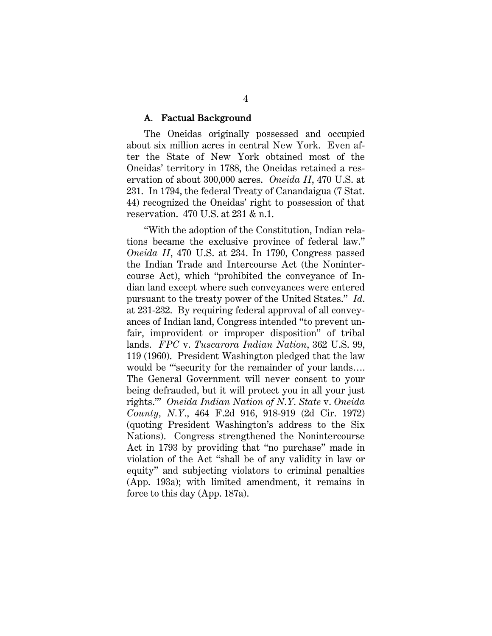#### A. Factual Background

The Oneidas originally possessed and occupied about six million acres in central New York. Even after the State of New York obtained most of the Oneidas' territory in 1788, the Oneidas retained a reservation of about 300,000 acres. *Oneida II*, 470 U.S. at 231. In 1794, the federal Treaty of Canandaigua (7 Stat. 44) recognized the Oneidas' right to possession of that reservation. 470 U.S. at 231 & n.1.

"With the adoption of the Constitution, Indian relations became the exclusive province of federal law." *Oneida II*, 470 U.S. at 234. In 1790, Congress passed the Indian Trade and Intercourse Act (the Nonintercourse Act), which "prohibited the conveyance of Indian land except where such conveyances were entered pursuant to the treaty power of the United States." *Id*. at 231-232. By requiring federal approval of all conveyances of Indian land, Congress intended "to prevent unfair, improvident or improper disposition" of tribal lands. *FPC* v. *Tuscarora Indian Nation*, 362 U.S. 99, 119 (1960). President Washington pledged that the law would be "security for the remainder of your lands.... The General Government will never consent to your being defrauded, but it will protect you in all your just rights.'" *Oneida Indian Nation of N.Y. State* v. *Oneida County, N.Y*., 464 F.2d 916, 918-919 (2d Cir. 1972) (quoting President Washington's address to the Six Nations). Congress strengthened the Nonintercourse Act in 1793 by providing that "no purchase" made in violation of the Act "shall be of any validity in law or equity" and subjecting violators to criminal penalties (App. 193a); with limited amendment, it remains in force to this day (App. 187a).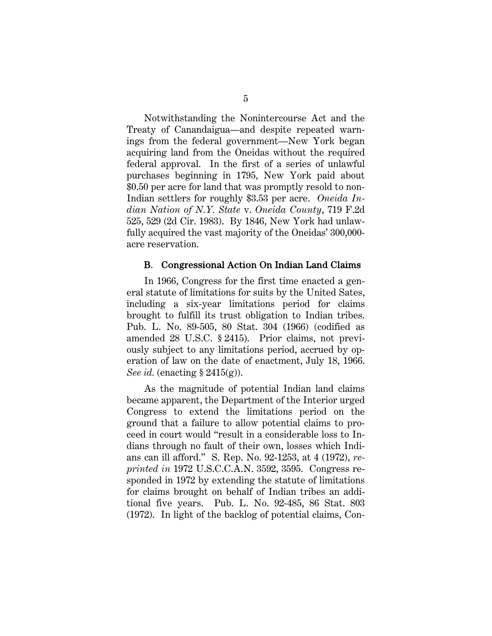Notwithstanding the Nonintercourse Act and the Treaty of Canandaigua—and despite repeated warnings from the federal government—New York began acquiring land from the Oneidas without the required federal approval. In the first of a series of unlawful purchases beginning in 1795, New York paid about \$0.50 per acre for land that was promptly resold to non-Indian settlers for roughly \$3.53 per acre. *Oneida Indian Nation of N.Y. State* v. *Oneida County*, 719 F.2d 525, 529 (2d Cir. 1983). By 1846, New York had unlawfully acquired the vast majority of the Oneidas' 300,000 acre reservation.

#### B. Congressional Action On Indian Land Claims

In 1966, Congress for the first time enacted a general statute of limitations for suits by the United Sates, including a six-year limitations period for claims brought to fulfill its trust obligation to Indian tribes. Pub. L. No. 89-505, 80 Stat. 304 (1966) (codified as amended 28 U.S.C. § 2415). Prior claims, not previously subject to any limitations period, accrued by operation of law on the date of enactment, July 18, 1966. *See id.* (enacting § 2415(g)).

As the magnitude of potential Indian land claims became apparent, the Department of the Interior urged Congress to extend the limitations period on the ground that a failure to allow potential claims to proceed in court would "result in a considerable loss to Indians through no fault of their own, losses which Indians can ill afford." S. Rep. No. 92-1253, at 4 (1972), *reprinted in* 1972 U.S.C.C.A.N. 3592, 3595. Congress responded in 1972 by extending the statute of limitations for claims brought on behalf of Indian tribes an additional five years. Pub. L. No. 92-485, 86 Stat. 803 (1972). In light of the backlog of potential claims, Con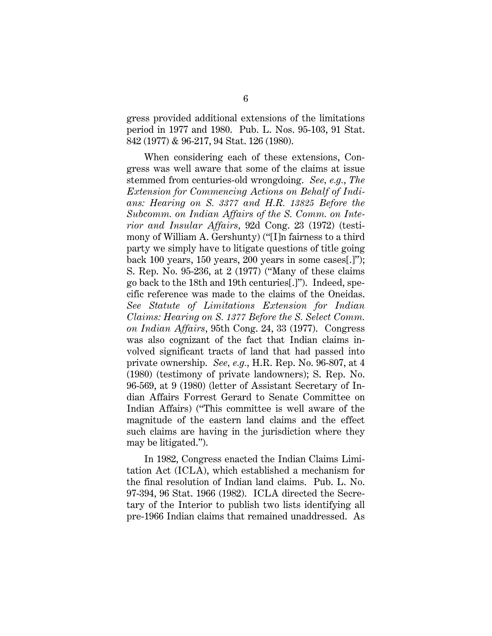gress provided additional extensions of the limitations period in 1977 and 1980. Pub. L. Nos. 95-103, 91 Stat. 842 (1977) & 96-217, 94 Stat. 126 (1980).

When considering each of these extensions, Congress was well aware that some of the claims at issue stemmed from centuries-old wrongdoing. *See, e.g.*, *The Extension for Commencing Actions on Behalf of Indians: Hearing on S. 3377 and H.R. 13825 Before the Subcomm. on Indian Affairs of the S. Comm. on Interior and Insular Affairs,* 92d Cong. 23 (1972) (testimony of William A. Gershunty) ("[I]n fairness to a third party we simply have to litigate questions of title going back 100 years, 150 years, 200 years in some cases[.]"); S. Rep. No. 95-236, at 2 (1977) ("Many of these claims go back to the 18th and 19th centuries[.]"). Indeed, specific reference was made to the claims of the Oneidas. *See Statute of Limitations Extension for Indian Claims: Hearing on S. 1377 Before the S. Select Comm. on Indian Affairs*, 95th Cong. 24, 33 (1977). Congress was also cognizant of the fact that Indian claims involved significant tracts of land that had passed into private ownership. *See, e.g.*, H.R. Rep. No. 96-807, at 4 (1980) (testimony of private landowners); S. Rep. No. 96-569, at 9 (1980) (letter of Assistant Secretary of Indian Affairs Forrest Gerard to Senate Committee on Indian Affairs) ("This committee is well aware of the magnitude of the eastern land claims and the effect such claims are having in the jurisdiction where they may be litigated.").

In 1982, Congress enacted the Indian Claims Limitation Act (ICLA), which established a mechanism for the final resolution of Indian land claims. Pub. L. No. 97-394, 96 Stat. 1966 (1982). ICLA directed the Secretary of the Interior to publish two lists identifying all pre-1966 Indian claims that remained unaddressed. As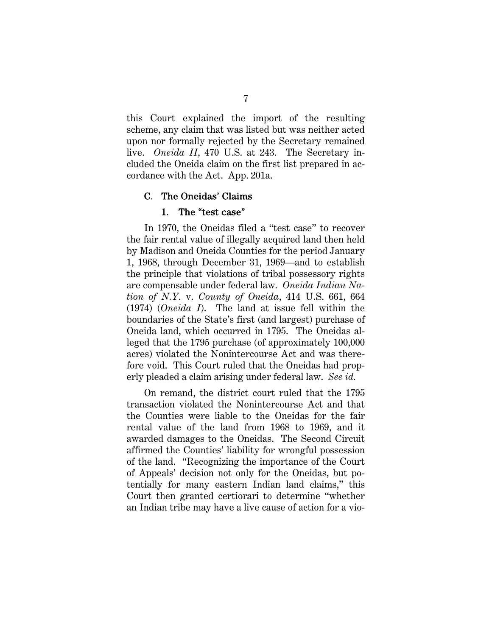this Court explained the import of the resulting scheme, any claim that was listed but was neither acted upon nor formally rejected by the Secretary remained live. *Oneida II*, 470 U.S. at 243. The Secretary included the Oneida claim on the first list prepared in accordance with the Act. App. 201a.

### C. The Oneidas' Claims

## 1. The "test case"

In 1970, the Oneidas filed a "test case" to recover the fair rental value of illegally acquired land then held by Madison and Oneida Counties for the period January 1, 1968, through December 31, 1969—and to establish the principle that violations of tribal possessory rights are compensable under federal law. *Oneida Indian Nation of N.Y.* v. *County of Oneida*, 414 U.S. 661, 664 (1974) (*Oneida I*). The land at issue fell within the boundaries of the State's first (and largest) purchase of Oneida land, which occurred in 1795. The Oneidas alleged that the 1795 purchase (of approximately 100,000 acres) violated the Nonintercourse Act and was therefore void. This Court ruled that the Oneidas had properly pleaded a claim arising under federal law. *See id.*

On remand, the district court ruled that the 1795 transaction violated the Nonintercourse Act and that the Counties were liable to the Oneidas for the fair rental value of the land from 1968 to 1969, and it awarded damages to the Oneidas. The Second Circuit affirmed the Counties' liability for wrongful possession of the land. "Recognizing the importance of the Court of Appeals' decision not only for the Oneidas, but potentially for many eastern Indian land claims," this Court then granted certiorari to determine "whether an Indian tribe may have a live cause of action for a vio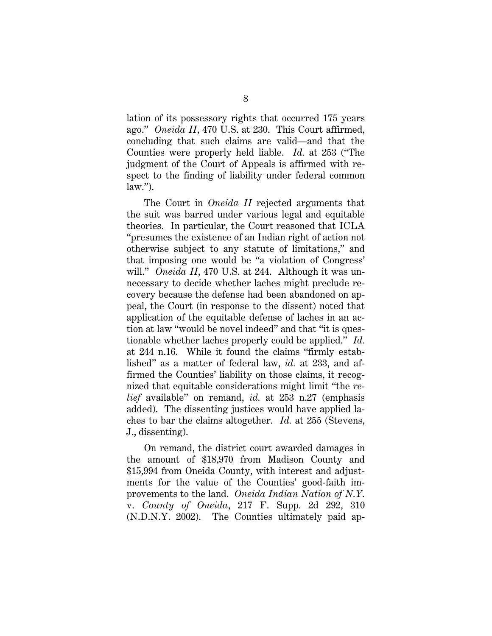lation of its possessory rights that occurred 175 years ago." *Oneida II*, 470 U.S. at 230. This Court affirmed, concluding that such claims are valid—and that the Counties were properly held liable. *Id.* at 253 ("The judgment of the Court of Appeals is affirmed with respect to the finding of liability under federal common  $law.'$ ).

The Court in *Oneida II* rejected arguments that the suit was barred under various legal and equitable theories. In particular, the Court reasoned that ICLA "presumes the existence of an Indian right of action not otherwise subject to any statute of limitations," and that imposing one would be "a violation of Congress' will." *Oneida II*, 470 U.S. at 244. Although it was unnecessary to decide whether laches might preclude recovery because the defense had been abandoned on appeal, the Court (in response to the dissent) noted that application of the equitable defense of laches in an action at law "would be novel indeed" and that "it is questionable whether laches properly could be applied." *Id.* at 244 n.16. While it found the claims "firmly established" as a matter of federal law, *id.* at 233, and affirmed the Counties' liability on those claims, it recognized that equitable considerations might limit "the *relief* available" on remand, *id.* at 253 n.27 (emphasis added). The dissenting justices would have applied laches to bar the claims altogether. *Id.* at 255 (Stevens, J., dissenting).

On remand, the district court awarded damages in the amount of \$18,970 from Madison County and \$15,994 from Oneida County, with interest and adjustments for the value of the Counties' good-faith improvements to the land. *Oneida Indian Nation of N.Y.*  v. *County of Oneida*, 217 F. Supp. 2d 292, 310 (N.D.N.Y. 2002). The Counties ultimately paid ap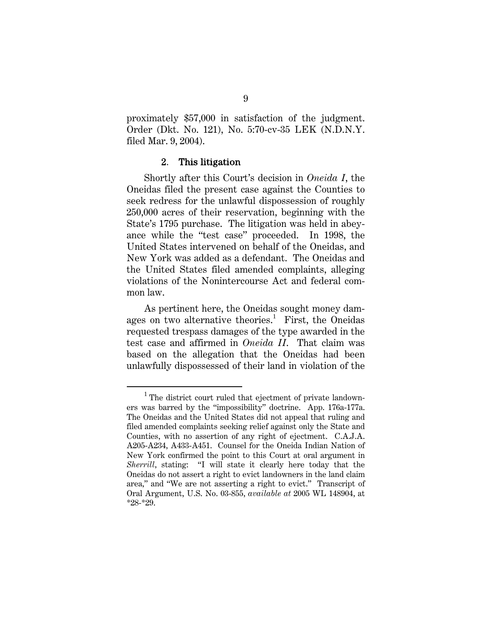proximately \$57,000 in satisfaction of the judgment. Order (Dkt. No. 121), No. 5:70-cv-35 LEK (N.D.N.Y. filed Mar. 9, 2004).

#### 2. This litigation

Shortly after this Court's decision in *Oneida I*, the Oneidas filed the present case against the Counties to seek redress for the unlawful dispossession of roughly 250,000 acres of their reservation, beginning with the State's 1795 purchase. The litigation was held in abeyance while the "test case" proceeded. In 1998, the United States intervened on behalf of the Oneidas, and New York was added as a defendant. The Oneidas and the United States filed amended complaints, alleging violations of the Nonintercourse Act and federal common law.

As pertinent here, the Oneidas sought money damages on two alternative theories.<sup>1</sup> First, the Oneidas requested trespass damages of the type awarded in the test case and affirmed in *Oneida II*. That claim was based on the allegation that the Oneidas had been unlawfully dispossessed of their land in violation of the

 $\overline{\phantom{0}1}$  $<sup>1</sup>$  The district court ruled that ejectment of private landown-</sup> ers was barred by the "impossibility" doctrine. App. 176a-177a. The Oneidas and the United States did not appeal that ruling and filed amended complaints seeking relief against only the State and Counties, with no assertion of any right of ejectment. C.A.J.A. A205-A234, A433-A451. Counsel for the Oneida Indian Nation of New York confirmed the point to this Court at oral argument in *Sherrill*, stating: "I will state it clearly here today that the Oneidas do not assert a right to evict landowners in the land claim area," and "We are not asserting a right to evict." Transcript of Oral Argument, U.S. No. 03-855, *available at* 2005 WL 148904, at \*28-\*29.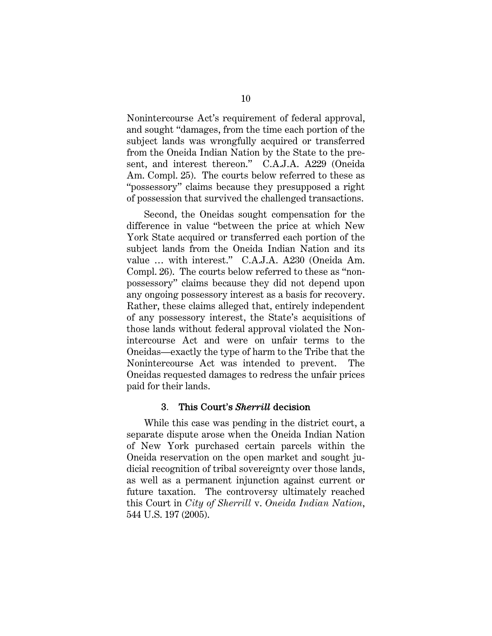Nonintercourse Act's requirement of federal approval, and sought "damages, from the time each portion of the subject lands was wrongfully acquired or transferred from the Oneida Indian Nation by the State to the present, and interest thereon." C.A.J.A. A229 (Oneida Am. Compl. 25). The courts below referred to these as "possessory" claims because they presupposed a right of possession that survived the challenged transactions.

Second, the Oneidas sought compensation for the difference in value "between the price at which New York State acquired or transferred each portion of the subject lands from the Oneida Indian Nation and its value … with interest." C.A.J.A. A230 (Oneida Am. Compl. 26). The courts below referred to these as "nonpossessory" claims because they did not depend upon any ongoing possessory interest as a basis for recovery. Rather, these claims alleged that, entirely independent of any possessory interest, the State's acquisitions of those lands without federal approval violated the Nonintercourse Act and were on unfair terms to the Oneidas—exactly the type of harm to the Tribe that the Nonintercourse Act was intended to prevent. The Oneidas requested damages to redress the unfair prices paid for their lands.

#### 3. This Court's *Sherrill* decision

While this case was pending in the district court, a separate dispute arose when the Oneida Indian Nation of New York purchased certain parcels within the Oneida reservation on the open market and sought judicial recognition of tribal sovereignty over those lands, as well as a permanent injunction against current or future taxation. The controversy ultimately reached this Court in *City of Sherrill* v. *Oneida Indian Nation*, 544 U.S. 197 (2005).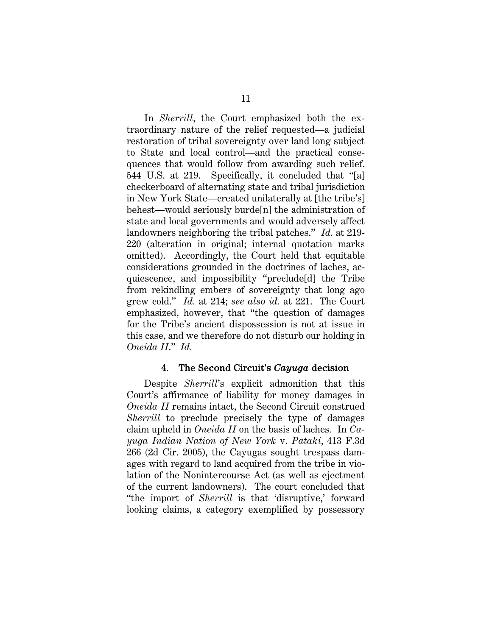In *Sherrill*, the Court emphasized both the extraordinary nature of the relief requested—a judicial restoration of tribal sovereignty over land long subject to State and local control—and the practical consequences that would follow from awarding such relief. 544 U.S. at 219. Specifically, it concluded that "[a] checkerboard of alternating state and tribal jurisdiction in New York State—created unilaterally at [the tribe's] behest—would seriously burde[n] the administration of state and local governments and would adversely affect landowners neighboring the tribal patches." *Id.* at 219- 220 (alteration in original; internal quotation marks omitted). Accordingly, the Court held that equitable considerations grounded in the doctrines of laches, acquiescence, and impossibility "preclude[d] the Tribe from rekindling embers of sovereignty that long ago grew cold." *Id.* at 214; *see also id.* at 221. The Court emphasized, however, that "the question of damages for the Tribe's ancient dispossession is not at issue in this case, and we therefore do not disturb our holding in *Oneida II*." *Id.*

## 4. The Second Circuit's *Cayuga* decision

Despite *Sherrill*'s explicit admonition that this Court's affirmance of liability for money damages in *Oneida II* remains intact, the Second Circuit construed *Sherrill* to preclude precisely the type of damages claim upheld in *Oneida II* on the basis of laches*.* In *Cayuga Indian Nation of New York* v. *Pataki*, 413 F.3d 266 (2d Cir. 2005), the Cayugas sought trespass damages with regard to land acquired from the tribe in violation of the Nonintercourse Act (as well as ejectment of the current landowners). The court concluded that "the import of *Sherrill* is that 'disruptive,' forward looking claims, a category exemplified by possessory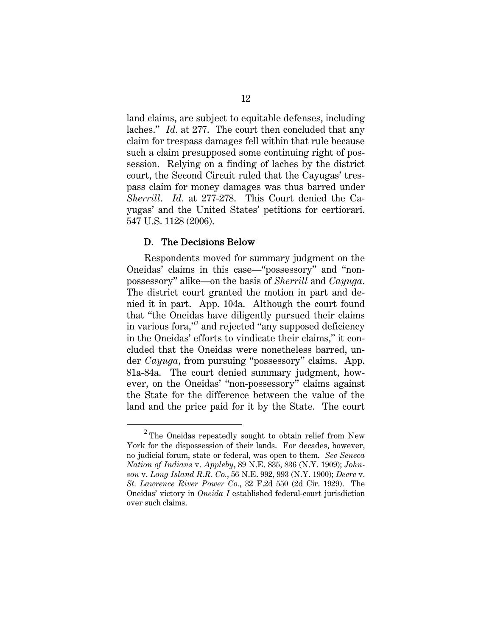land claims, are subject to equitable defenses, including laches." *Id.* at 277. The court then concluded that any claim for trespass damages fell within that rule because such a claim presupposed some continuing right of possession. Relying on a finding of laches by the district court, the Second Circuit ruled that the Cayugas' trespass claim for money damages was thus barred under *Sherrill*. *Id.* at 277-278. This Court denied the Cayugas' and the United States' petitions for certiorari. 547 U.S. 1128 (2006).

#### D. The Decisions Below

Respondents moved for summary judgment on the Oneidas' claims in this case—"possessory" and "nonpossessory" alike—on the basis of *Sherrill* and *Cayuga*. The district court granted the motion in part and denied it in part. App. 104a. Although the court found that "the Oneidas have diligently pursued their claims in various fora,"<sup>2</sup> and rejected "any supposed deficiency in the Oneidas' efforts to vindicate their claims," it concluded that the Oneidas were nonetheless barred, under *Cayuga*, from pursuing "possessory" claims. App. 81a-84a. The court denied summary judgment, however, on the Oneidas' "non-possessory" claims against the State for the difference between the value of the land and the price paid for it by the State.The court

<sup>2</sup>  $2$  The Oneidas repeatedly sought to obtain relief from New York for the dispossession of their lands. For decades, however, no judicial forum, state or federal, was open to them. *See Seneca Nation of Indians* v. *Appleby*, 89 N.E. 835, 836 (N.Y. 1909); *Johnson* v. *Long Island R.R. Co.*, 56 N.E. 992, 993 (N.Y. 1900); *Deere* v. *St. Lawrence River Power Co.*, 32 F.2d 550 (2d Cir. 1929). The Oneidas' victory in *Oneida I* established federal-court jurisdiction over such claims.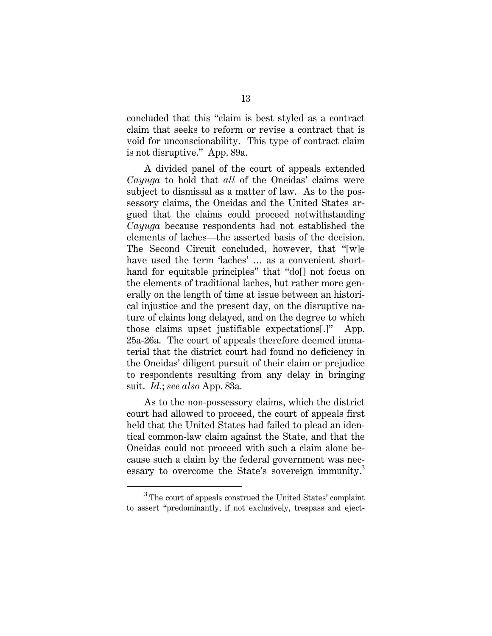concluded that this "claim is best styled as a contract claim that seeks to reform or revise a contract that is void for unconscionability. This type of contract claim is not disruptive." App. 89a.

A divided panel of the court of appeals extended *Cayuga* to hold that *all* of the Oneidas' claims were subject to dismissal as a matter of law. As to the possessory claims, the Oneidas and the United States argued that the claims could proceed notwithstanding *Cayuga* because respondents had not established the elements of laches—the asserted basis of the decision. The Second Circuit concluded, however, that "[w]e have used the term 'laches' ... as a convenient shorthand for equitable principles" that "do[] not focus on the elements of traditional laches, but rather more generally on the length of time at issue between an historical injustice and the present day, on the disruptive nature of claims long delayed, and on the degree to which those claims upset justifiable expectations[.]" App. 25a-26a. The court of appeals therefore deemed immaterial that the district court had found no deficiency in the Oneidas' diligent pursuit of their claim or prejudice to respondents resulting from any delay in bringing suit. *Id.*; *see also* App. 83a.

As to the non-possessory claims, which the district court had allowed to proceed, the court of appeals first held that the United States had failed to plead an identical common-law claim against the State, and that the Oneidas could not proceed with such a claim alone because such a claim by the federal government was necessary to overcome the State's sovereign immunity.<sup>3</sup>

<sup>3</sup> <sup>3</sup> The court of appeals construed the United States' complaint to assert "predominantly, if not exclusively, trespass and eject-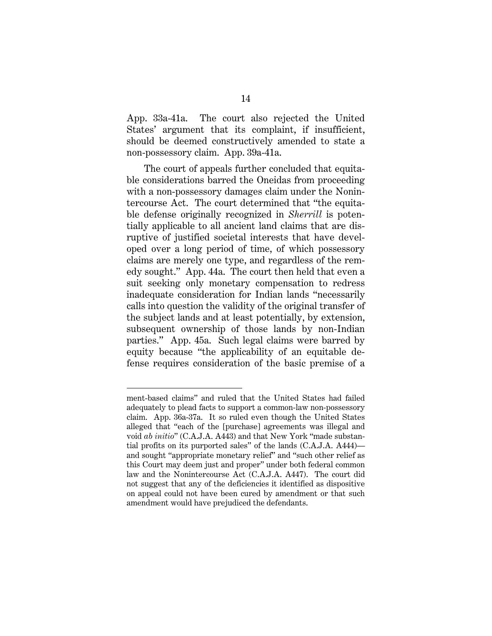App. 33a-41a. The court also rejected the United States' argument that its complaint, if insufficient, should be deemed constructively amended to state a non-possessory claim. App. 39a-41a.

The court of appeals further concluded that equitable considerations barred the Oneidas from proceeding with a non-possessory damages claim under the Nonintercourse Act. The court determined that "the equitable defense originally recognized in *Sherrill* is potentially applicable to all ancient land claims that are disruptive of justified societal interests that have developed over a long period of time, of which possessory claims are merely one type, and regardless of the remedy sought." App. 44a. The court then held that even a suit seeking only monetary compensation to redress inadequate consideration for Indian lands "necessarily calls into question the validity of the original transfer of the subject lands and at least potentially, by extension, subsequent ownership of those lands by non-Indian parties." App. 45a. Such legal claims were barred by equity because "the applicability of an equitable defense requires consideration of the basic premise of a

l

ment-based claims" and ruled that the United States had failed adequately to plead facts to support a common-law non-possessory claim. App. 36a-37a. It so ruled even though the United States alleged that "each of the [purchase] agreements was illegal and void *ab initio*" (C.A.J.A. A443) and that New York "made substantial profits on its purported sales" of the lands (C.A.J.A. A444) and sought "appropriate monetary relief" and "such other relief as this Court may deem just and proper" under both federal common law and the Nonintercourse Act (C.A.J.A. A447). The court did not suggest that any of the deficiencies it identified as dispositive on appeal could not have been cured by amendment or that such amendment would have prejudiced the defendants.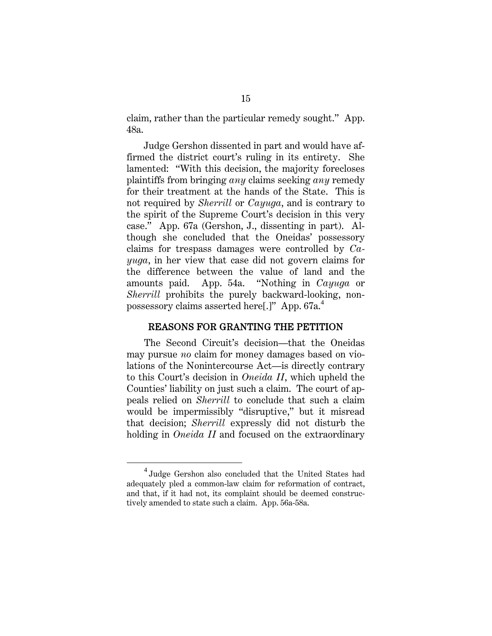claim, rather than the particular remedy sought." App. 48a.

Judge Gershon dissented in part and would have affirmed the district court's ruling in its entirety. She lamented: "With this decision, the majority forecloses plaintiffs from bringing *any* claims seeking *any* remedy for their treatment at the hands of the State. This is not required by *Sherrill* or *Cayuga*, and is contrary to the spirit of the Supreme Court's decision in this very case." App. 67a (Gershon, J., dissenting in part). Although she concluded that the Oneidas' possessory claims for trespass damages were controlled by *Cayuga*, in her view that case did not govern claims for the difference between the value of land and the amounts paid. App. 54a. "Nothing in *Cayuga* or *Sherrill* prohibits the purely backward-looking, nonpossessory claims asserted here[.]" App. 67a.<sup>4</sup>

### REASONS FOR GRANTING THE PETITION

The Second Circuit's decision—that the Oneidas may pursue *no* claim for money damages based on violations of the Nonintercourse Act—is directly contrary to this Court's decision in *Oneida II*, which upheld the Counties' liability on just such a claim. The court of appeals relied on *Sherrill* to conclude that such a claim would be impermissibly "disruptive," but it misread that decision; *Sherrill* expressly did not disturb the holding in *Oneida II* and focused on the extraordinary

 $\overline{4}$  $4$  Judge Gershon also concluded that the United States had adequately pled a common-law claim for reformation of contract, and that, if it had not, its complaint should be deemed constructively amended to state such a claim. App. 56a-58a.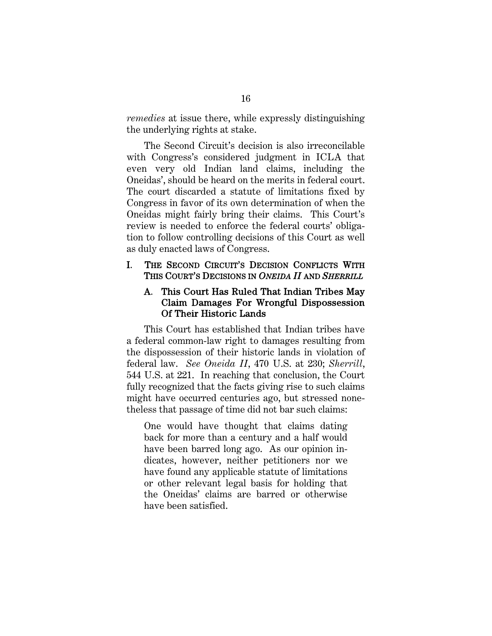*remedies* at issue there, while expressly distinguishing the underlying rights at stake.

The Second Circuit's decision is also irreconcilable with Congress's considered judgment in ICLA that even very old Indian land claims, including the Oneidas', should be heard on the merits in federal court. The court discarded a statute of limitations fixed by Congress in favor of its own determination of when the Oneidas might fairly bring their claims. This Court's review is needed to enforce the federal courts' obligation to follow controlling decisions of this Court as well as duly enacted laws of Congress.

## I. THE SECOND CIRCUIT'S DECISION CONFLICTS WITH THIS COURT'S DECISIONS IN *ONEIDA II* AND *SHERRILL*

## A. This Court Has Ruled That Indian Tribes May Claim Damages For Wrongful Dispossession Of Their Historic Lands

This Court has established that Indian tribes have a federal common-law right to damages resulting from the dispossession of their historic lands in violation of federal law. *See Oneida II*, 470 U.S. at 230; *Sherrill*, 544 U.S. at 221. In reaching that conclusion, the Court fully recognized that the facts giving rise to such claims might have occurred centuries ago, but stressed nonetheless that passage of time did not bar such claims:

One would have thought that claims dating back for more than a century and a half would have been barred long ago. As our opinion indicates, however, neither petitioners nor we have found any applicable statute of limitations or other relevant legal basis for holding that the Oneidas' claims are barred or otherwise have been satisfied.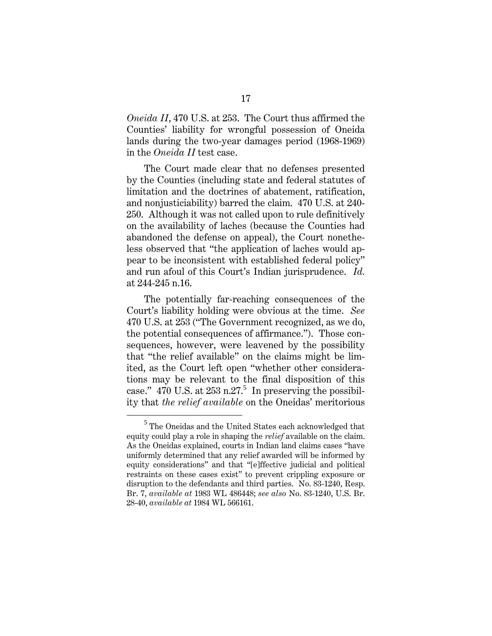*Oneida II*, 470 U.S. at 253. The Court thus affirmed the Counties' liability for wrongful possession of Oneida lands during the two-year damages period (1968-1969) in the *Oneida II* test case.

The Court made clear that no defenses presented by the Counties (including state and federal statutes of limitation and the doctrines of abatement, ratification, and nonjusticiability) barred the claim. 470 U.S. at 240- 250. Although it was not called upon to rule definitively on the availability of laches (because the Counties had abandoned the defense on appeal), the Court nonetheless observed that "the application of laches would appear to be inconsistent with established federal policy" and run afoul of this Court's Indian jurisprudence. *Id.* at 244-245 n.16.

The potentially far-reaching consequences of the Court's liability holding were obvious at the time. *See*  470 U.S. at 253 ("The Government recognized, as we do, the potential consequences of affirmance."). Those consequences, however, were leavened by the possibility that "the relief available" on the claims might be limited, as the Court left open "whether other considerations may be relevant to the final disposition of this case."  $470$  U.S. at  $253$  n.27.<sup>5</sup> In preserving the possibility that *the relief available* on the Oneidas' meritorious

 $rac{1}{5}$ <sup>5</sup> The Oneidas and the United States each acknowledged that equity could play a role in shaping the *relief* available on the claim. As the Oneidas explained, courts in Indian land claims cases "have uniformly determined that any relief awarded will be informed by equity considerations" and that "[e]ffective judicial and political restraints on these cases exist" to prevent crippling exposure or disruption to the defendants and third parties. No. 83-1240, Resp. Br. 7, *available at* 1983 WL 486448; *see also* No. 83-1240, U.S. Br. 28-40, *available at* 1984 WL 566161.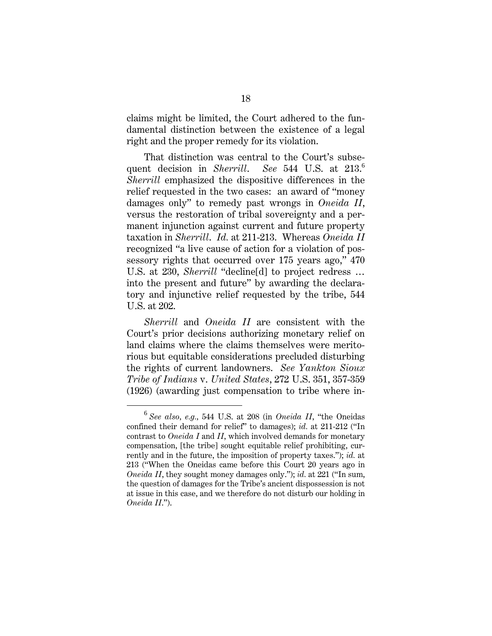claims might be limited, the Court adhered to the fundamental distinction between the existence of a legal right and the proper remedy for its violation.

That distinction was central to the Court's subsequent decision in *Sherrill*. See 544 U.S. at 213. *Sherrill* emphasized the dispositive differences in the relief requested in the two cases: an award of "money damages only" to remedy past wrongs in *Oneida II*, versus the restoration of tribal sovereignty and a permanent injunction against current and future property taxation in *Sherrill*. *Id.* at 211-213. Whereas *Oneida II*  recognized "a live cause of action for a violation of possessory rights that occurred over 175 years ago," 470 U.S. at 230, *Sherrill* "decline[d] to project redress … into the present and future" by awarding the declaratory and injunctive relief requested by the tribe, 544 U.S. at 202.

*Sherrill* and *Oneida II* are consistent with the Court's prior decisions authorizing monetary relief on land claims where the claims themselves were meritorious but equitable considerations precluded disturbing the rights of current landowners. *See Yankton Sioux Tribe of Indians* v. *United States*, 272 U.S. 351, 357-359 (1926) (awarding just compensation to tribe where in-

<sup>6</sup> *See also, e.g.,* 544 U.S. at 208 (in *Oneida II*, "the Oneidas confined their demand for relief" to damages); *id.* at 211-212 ("In contrast to *Oneida I* and *II*, which involved demands for monetary compensation, [the tribe] sought equitable relief prohibiting, currently and in the future, the imposition of property taxes."); *id.* at 213 ("When the Oneidas came before this Court 20 years ago in *Oneida II*, they sought money damages only."); *id.* at 221 ("In sum, the question of damages for the Tribe's ancient dispossession is not at issue in this case, and we therefore do not disturb our holding in *Oneida II*.").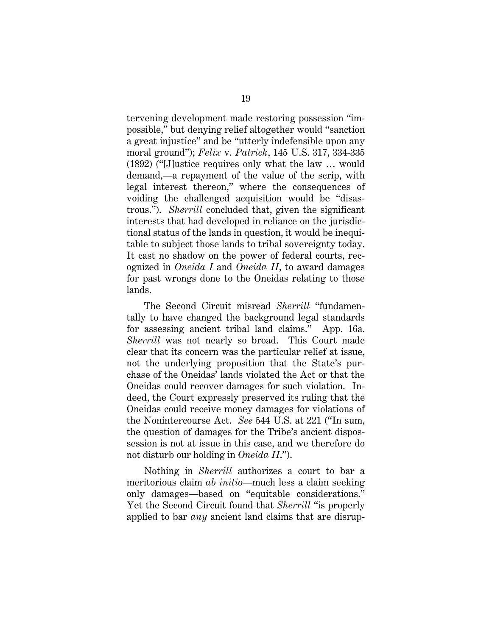tervening development made restoring possession "impossible," but denying relief altogether would "sanction a great injustice" and be "utterly indefensible upon any moral ground"); *Felix* v. *Patrick*, 145 U.S. 317, 334-335 (1892) ("[J]ustice requires only what the law … would demand,—a repayment of the value of the scrip, with legal interest thereon," where the consequences of voiding the challenged acquisition would be "disastrous."). *Sherrill* concluded that, given the significant interests that had developed in reliance on the jurisdictional status of the lands in question, it would be inequitable to subject those lands to tribal sovereignty today. It cast no shadow on the power of federal courts, recognized in *Oneida I* and *Oneida II*, to award damages for past wrongs done to the Oneidas relating to those lands.

The Second Circuit misread *Sherrill* "fundamentally to have changed the background legal standards for assessing ancient tribal land claims." App. 16a. *Sherrill* was not nearly so broad. This Court made clear that its concern was the particular relief at issue, not the underlying proposition that the State's purchase of the Oneidas' lands violated the Act or that the Oneidas could recover damages for such violation. Indeed, the Court expressly preserved its ruling that the Oneidas could receive money damages for violations of the Nonintercourse Act. *See* 544 U.S. at 221 ("In sum, the question of damages for the Tribe's ancient dispossession is not at issue in this case, and we therefore do not disturb our holding in *Oneida II*.").

Nothing in *Sherrill* authorizes a court to bar a meritorious claim *ab initio*—much less a claim seeking only damages—based on "equitable considerations." Yet the Second Circuit found that *Sherrill* "is properly applied to bar *any* ancient land claims that are disrup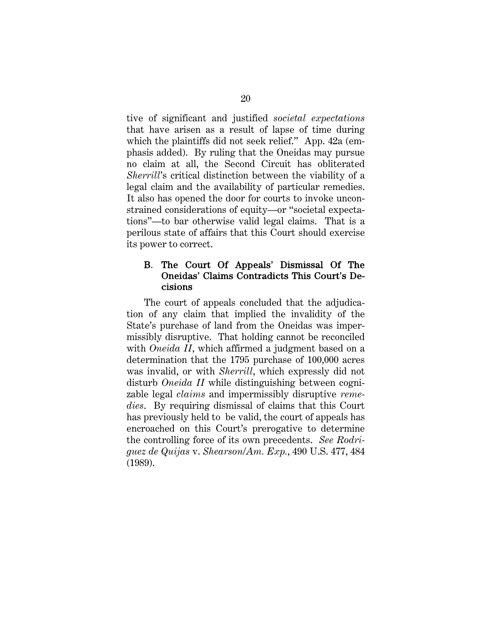tive of significant and justified *societal expectations*  that have arisen as a result of lapse of time during which the plaintiffs did not seek relief." App. 42a (emphasis added). By ruling that the Oneidas may pursue no claim at all, the Second Circuit has obliterated *Sherrill*'s critical distinction between the viability of a legal claim and the availability of particular remedies. It also has opened the door for courts to invoke unconstrained considerations of equity—or "societal expectations"—to bar otherwise valid legal claims. That is a perilous state of affairs that this Court should exercise its power to correct.

## B. The Court Of Appeals' Dismissal Of The Oneidas' Claims Contradicts This Court's Decisions

The court of appeals concluded that the adjudication of any claim that implied the invalidity of the State's purchase of land from the Oneidas was impermissibly disruptive. That holding cannot be reconciled with *Oneida II*, which affirmed a judgment based on a determination that the 1795 purchase of 100,000 acres was invalid, or with *Sherrill*, which expressly did not disturb *Oneida II* while distinguishing between cognizable legal *claims* and impermissibly disruptive *remedies*. By requiring dismissal of claims that this Court has previously held to be valid, the court of appeals has encroached on this Court's prerogative to determine the controlling force of its own precedents. *See Rodriguez de Quijas* v. *Shearson/Am. Exp.*, 490 U.S. 477, 484 (1989).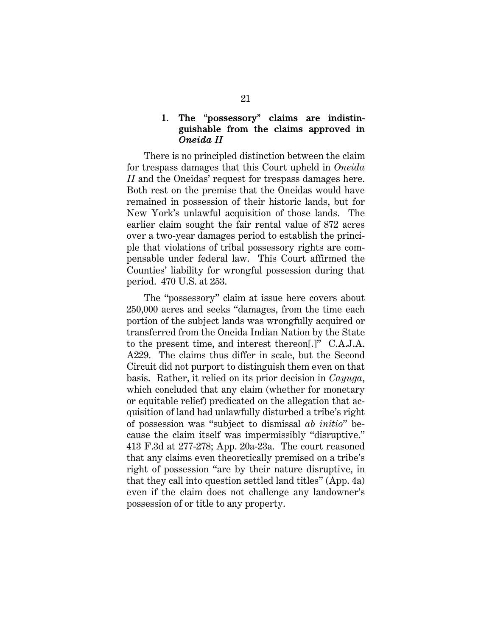## 1. The "possessory" claims are indistinguishable from the claims approved in *Oneida II*

There is no principled distinction between the claim for trespass damages that this Court upheld in *Oneida II* and the Oneidas' request for trespass damages here. Both rest on the premise that the Oneidas would have remained in possession of their historic lands, but for New York's unlawful acquisition of those lands. The earlier claim sought the fair rental value of 872 acres over a two-year damages period to establish the principle that violations of tribal possessory rights are compensable under federal law. This Court affirmed the Counties' liability for wrongful possession during that period. 470 U.S. at 253.

The "possessory" claim at issue here covers about 250,000 acres and seeks "damages, from the time each portion of the subject lands was wrongfully acquired or transferred from the Oneida Indian Nation by the State to the present time, and interest thereon[.]" C.A.J.A. A229. The claims thus differ in scale, but the Second Circuit did not purport to distinguish them even on that basis. Rather, it relied on its prior decision in *Cayuga*, which concluded that any claim (whether for monetary or equitable relief) predicated on the allegation that acquisition of land had unlawfully disturbed a tribe's right of possession was "subject to dismissal *ab initio*" because the claim itself was impermissibly "disruptive." 413 F.3d at 277-278; App. 20a-23a. The court reasoned that any claims even theoretically premised on a tribe's right of possession "are by their nature disruptive*,* in that they call into question settled land titles" (App. 4a) even if the claim does not challenge any landowner's possession of or title to any property.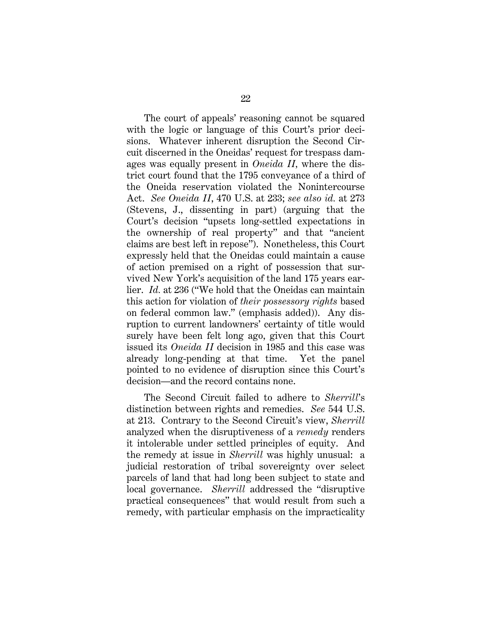The court of appeals' reasoning cannot be squared with the logic or language of this Court's prior decisions. Whatever inherent disruption the Second Circuit discerned in the Oneidas' request for trespass damages was equally present in *Oneida II,* where the district court found that the 1795 conveyance of a third of the Oneida reservation violated the Nonintercourse Act. *See Oneida II*, 470 U.S. at 233; *see also id.* at 273 (Stevens, J., dissenting in part) (arguing that the Court's decision "upsets long-settled expectations in the ownership of real property" and that "ancient claims are best left in repose"). Nonetheless, this Court expressly held that the Oneidas could maintain a cause of action premised on a right of possession that survived New York's acquisition of the land 175 years earlier. *Id.* at 236 ("We hold that the Oneidas can maintain this action for violation of *their possessory rights* based on federal common law." (emphasis added)). Any disruption to current landowners' certainty of title would surely have been felt long ago, given that this Court issued its *Oneida II* decision in 1985 and this case was already long-pending at that time. Yet the panel pointed to no evidence of disruption since this Court's decision—and the record contains none.

The Second Circuit failed to adhere to *Sherrill*'s distinction between rights and remedies. *See* 544 U.S. at 213. Contrary to the Second Circuit's view, *Sherrill*  analyzed when the disruptiveness of a *remedy* renders it intolerable under settled principles of equity. And the remedy at issue in *Sherrill* was highly unusual: a judicial restoration of tribal sovereignty over select parcels of land that had long been subject to state and local governance. *Sherrill* addressed the "disruptive practical consequences" that would result from such a remedy, with particular emphasis on the impracticality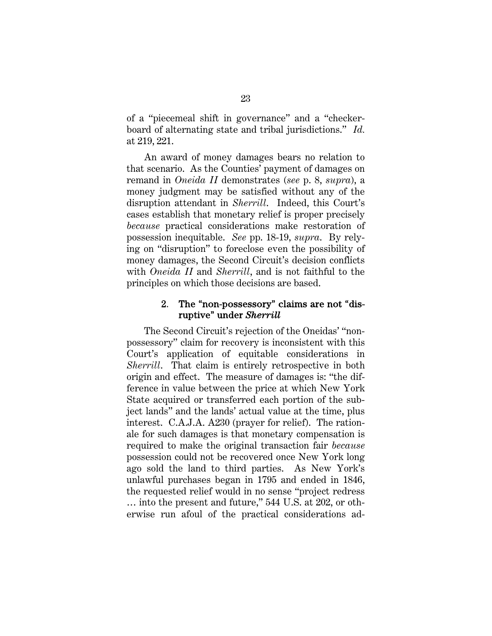of a "piecemeal shift in governance" and a "checkerboard of alternating state and tribal jurisdictions." *Id.* at 219, 221.

An award of money damages bears no relation to that scenario. As the Counties' payment of damages on remand in *Oneida II* demonstrates (*see* p. 8, *supra*), a money judgment may be satisfied without any of the disruption attendant in *Sherrill*. Indeed, this Court's cases establish that monetary relief is proper precisely *because* practical considerations make restoration of possession inequitable. *See* pp. 18-19, *supra*. By relying on "disruption" to foreclose even the possibility of money damages, the Second Circuit's decision conflicts with *Oneida II* and *Sherrill*, and is not faithful to the principles on which those decisions are based.

## 2. The "non-possessory" claims are not "disruptive" under *Sherrill*

The Second Circuit's rejection of the Oneidas' "nonpossessory" claim for recovery is inconsistent with this Court's application of equitable considerations in *Sherrill.* That claim is entirely retrospective in both origin and effect. The measure of damages is: "the difference in value between the price at which New York State acquired or transferred each portion of the subject lands" and the lands' actual value at the time, plus interest. C.A.J.A. A230 (prayer for relief). The rationale for such damages is that monetary compensation is required to make the original transaction fair *because*  possession could not be recovered once New York long ago sold the land to third parties. As New York's unlawful purchases began in 1795 and ended in 1846, the requested relief would in no sense "project redress … into the present and future," 544 U.S. at 202, or otherwise run afoul of the practical considerations ad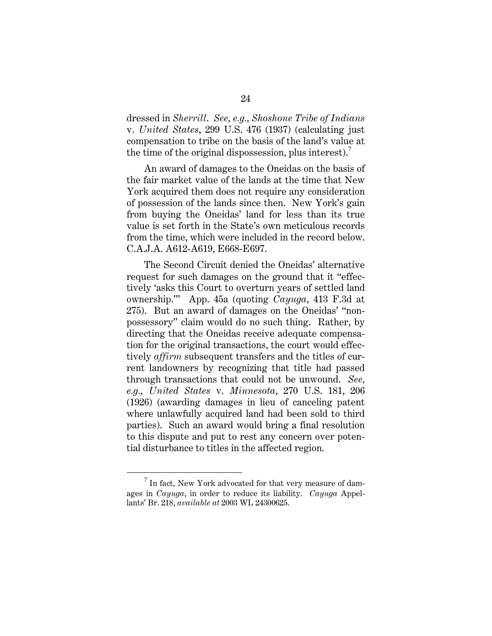dressed in *Sherrill*. *See, e.g., Shoshone Tribe of Indians*  v. *United States*, 299 U.S. 476 (1937) (calculating just compensation to tribe on the basis of the land's value at the time of the original dispossession, plus interest).<sup>7</sup>

An award of damages to the Oneidas on the basis of the fair market value of the lands at the time that New York acquired them does not require any consideration of possession of the lands since then. New York's gain from buying the Oneidas' land for less than its true value is set forth in the State's own meticulous records from the time, which were included in the record below. C.A.J.A. A612-A619, E668-E697.

The Second Circuit denied the Oneidas' alternative request for such damages on the ground that it "effectively 'asks this Court to overturn years of settled land ownership.'" App. 45a (quoting *Cayuga*, 413 F.3d at 275). But an award of damages on the Oneidas' "nonpossessory" claim would do no such thing. Rather, by directing that the Oneidas receive adequate compensation for the original transactions, the court would effectively *affirm* subsequent transfers and the titles of current landowners by recognizing that title had passed through transactions that could not be unwound. *See, e.g., United States* v. *Minnesota*, 270 U.S. 181, 206 (1926) (awarding damages in lieu of canceling patent where unlawfully acquired land had been sold to third parties). Such an award would bring a final resolution to this dispute and put to rest any concern over potential disturbance to titles in the affected region.

 $\overline{7}$  $\frac{7}{1}$  In fact, New York advocated for that very measure of damages in *Cayuga*, in order to reduce its liability. *Cayuga* Appellants' Br. 218, *available at* 2003 WL 24300625.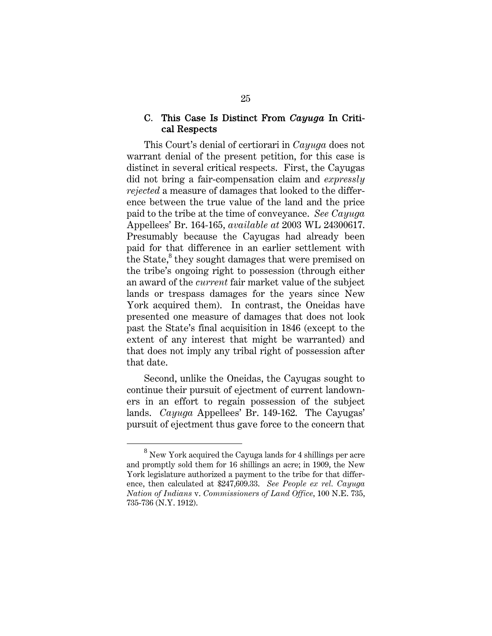### C. This Case Is Distinct From *Cayuga* In Critical Respects

This Court's denial of certiorari in *Cayuga* does not warrant denial of the present petition, for this case is distinct in several critical respects. First, the Cayugas did not bring a fair-compensation claim and *expressly rejected* a measure of damages that looked to the difference between the true value of the land and the price paid to the tribe at the time of conveyance. *See Cayuga* Appellees' Br. 164-165, *available at* 2003 WL 24300617. Presumably because the Cayugas had already been paid for that difference in an earlier settlement with the State,<sup>8</sup> they sought damages that were premised on the tribe's ongoing right to possession (through either an award of the *current* fair market value of the subject lands or trespass damages for the years since New York acquired them). In contrast, the Oneidas have presented one measure of damages that does not look past the State's final acquisition in 1846 (except to the extent of any interest that might be warranted) and that does not imply any tribal right of possession after that date.

Second, unlike the Oneidas, the Cayugas sought to continue their pursuit of ejectment of current landowners in an effort to regain possession of the subject lands. *Cayuga* Appellees' Br. 149-162. The Cayugas' pursuit of ejectment thus gave force to the concern that

<sup>8</sup> <sup>8</sup> New York acquired the Cayuga lands for 4 shillings per acre and promptly sold them for 16 shillings an acre; in 1909, the New York legislature authorized a payment to the tribe for that difference, then calculated at \$247,609.33. *See People ex rel. Cayuga Nation of Indians* v. *Commissioners of Land Office*, 100 N.E. 735, 735-736 (N.Y. 1912).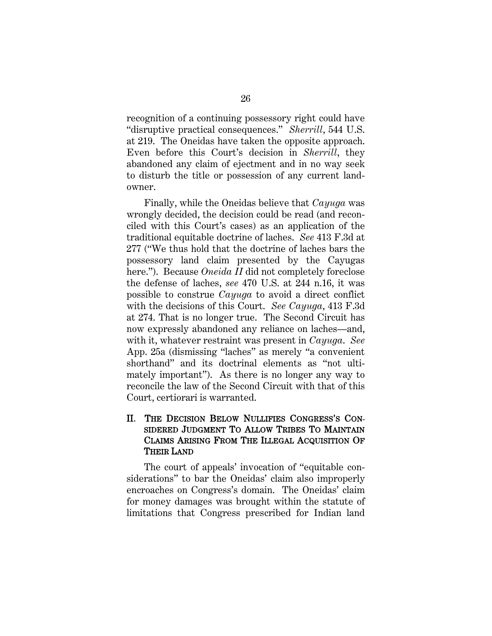recognition of a continuing possessory right could have "disruptive practical consequences." *Sherrill*, 544 U.S. at 219.The Oneidas have taken the opposite approach. Even before this Court's decision in *Sherrill*, they abandoned any claim of ejectment and in no way seek to disturb the title or possession of any current landowner.

Finally, while the Oneidas believe that *Cayuga* was wrongly decided, the decision could be read (and reconciled with this Court's cases) as an application of the traditional equitable doctrine of laches. *See* 413 F.3d at 277 ("We thus hold that the doctrine of laches bars the possessory land claim presented by the Cayugas here."). Because *Oneida II* did not completely foreclose the defense of laches, *see* 470 U.S. at 244 n.16, it was possible to construe *Cayuga* to avoid a direct conflict with the decisions of this Court. *See Cayuga*, 413 F.3d at 274. That is no longer true. The Second Circuit has now expressly abandoned any reliance on laches—and, with it, whatever restraint was present in *Cayuga*. *See*  App. 25a (dismissing "laches" as merely "a convenient shorthand" and its doctrinal elements as "not ultimately important"). As there is no longer any way to reconcile the law of the Second Circuit with that of this Court, certiorari is warranted.

## II. THE DECISION BELOW NULLIFIES CONGRESS'S CON-SIDERED JUDGMENT TO ALLOW TRIBES TO MAINTAIN CLAIMS ARISING FROM THE ILLEGAL ACQUISITION OF THEIR LAND

The court of appeals' invocation of "equitable considerations" to bar the Oneidas' claim also improperly encroaches on Congress's domain. The Oneidas' claim for money damages was brought within the statute of limitations that Congress prescribed for Indian land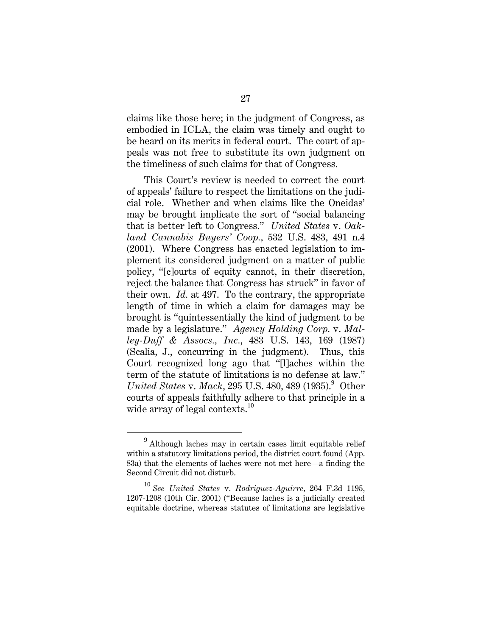claims like those here; in the judgment of Congress, as embodied in ICLA, the claim was timely and ought to be heard on its merits in federal court. The court of appeals was not free to substitute its own judgment on the timeliness of such claims for that of Congress.

This Court's review is needed to correct the court of appeals' failure to respect the limitations on the judicial role. Whether and when claims like the Oneidas' may be brought implicate the sort of "social balancing that is better left to Congress." *United States* v. *Oakland Cannabis Buyers' Coop.*, 532 U.S. 483, 491 n.4 (2001). Where Congress has enacted legislation to implement its considered judgment on a matter of public policy, "[c]ourts of equity cannot, in their discretion, reject the balance that Congress has struck" in favor of their own. *Id.* at 497. To the contrary, the appropriate length of time in which a claim for damages may be brought is "quintessentially the kind of judgment to be made by a legislature." *Agency Holding Corp.* v. *Malley-Duff & Assocs., Inc.*, 483 U.S. 143, 169 (1987) (Scalia, J., concurring in the judgment). Thus, this Court recognized long ago that "[l]aches within the term of the statute of limitations is no defense at law." *United States v. Mack*, 295 U.S. 480, 489 (1935).<sup>9</sup> Other courts of appeals faithfully adhere to that principle in a wide array of legal contexts.<sup>10</sup>

<sup>9</sup> Although laches may in certain cases limit equitable relief within a statutory limitations period, the district court found (App. 83a) that the elements of laches were not met here—a finding the Second Circuit did not disturb.

<sup>10</sup> *See United States* v. *Rodriguez-Aguirre*, 264 F.3d 1195, 1207-1208 (10th Cir. 2001) ("Because laches is a judicially created equitable doctrine, whereas statutes of limitations are legislative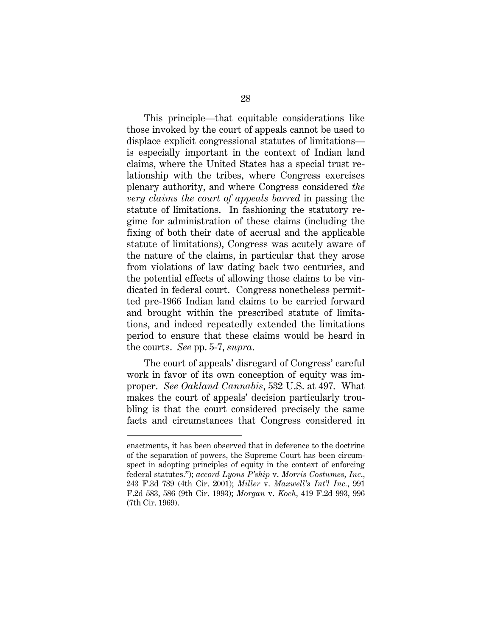This principle—that equitable considerations like those invoked by the court of appeals cannot be used to displace explicit congressional statutes of limitations is especially important in the context of Indian land claims, where the United States has a special trust relationship with the tribes, where Congress exercises plenary authority, and where Congress considered *the very claims the court of appeals barred* in passing the statute of limitations. In fashioning the statutory regime for administration of these claims (including the fixing of both their date of accrual and the applicable statute of limitations), Congress was acutely aware of the nature of the claims, in particular that they arose from violations of law dating back two centuries, and the potential effects of allowing those claims to be vindicated in federal court. Congress nonetheless permitted pre-1966 Indian land claims to be carried forward and brought within the prescribed statute of limitations, and indeed repeatedly extended the limitations period to ensure that these claims would be heard in the courts. *See* pp. 5-7, *supra*.

The court of appeals' disregard of Congress' careful work in favor of its own conception of equity was improper. *See Oakland Cannabis*, 532 U.S. at 497. What makes the court of appeals' decision particularly troubling is that the court considered precisely the same facts and circumstances that Congress considered in

 $\overline{a}$ 

enactments, it has been observed that in deference to the doctrine of the separation of powers, the Supreme Court has been circumspect in adopting principles of equity in the context of enforcing federal statutes."); *accord Lyons P'ship* v. *Morris Costumes, Inc*., 243 F.3d 789 (4th Cir. 2001); *Miller* v. *Maxwell's Int'l Inc.*, 991 F.2d 583, 586 (9th Cir. 1993); *Morgan* v. *Koch*, 419 F.2d 993, 996 (7th Cir. 1969).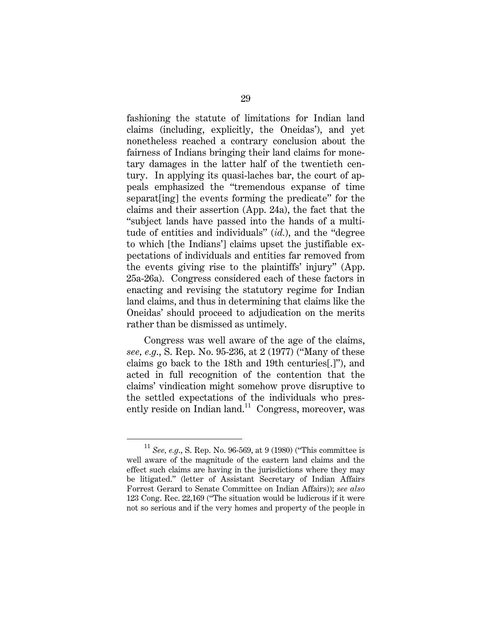fashioning the statute of limitations for Indian land claims (including, explicitly, the Oneidas'), and yet nonetheless reached a contrary conclusion about the fairness of Indians bringing their land claims for monetary damages in the latter half of the twentieth century. In applying its quasi-laches bar, the court of appeals emphasized the "tremendous expanse of time separat[ing] the events forming the predicate" for the claims and their assertion (App. 24a), the fact that the "subject lands have passed into the hands of a multitude of entities and individuals" (*id.*), and the "degree to which [the Indians'] claims upset the justifiable expectations of individuals and entities far removed from the events giving rise to the plaintiffs' injury" (App. 25a-26a). Congress considered each of these factors in enacting and revising the statutory regime for Indian land claims, and thus in determining that claims like the Oneidas' should proceed to adjudication on the merits rather than be dismissed as untimely.

Congress was well aware of the age of the claims, *see, e.g*., S. Rep. No. 95-236, at 2 (1977) ("Many of these claims go back to the 18th and 19th centuries[.]"), and acted in full recognition of the contention that the claims' vindication might somehow prove disruptive to the settled expectations of the individuals who presently reside on Indian land.<sup>11</sup> Congress, moreover, was

<sup>11</sup> *See, e.g*., S. Rep. No. 96-569, at 9 (1980) ("This committee is well aware of the magnitude of the eastern land claims and the effect such claims are having in the jurisdictions where they may be litigated." (letter of Assistant Secretary of Indian Affairs Forrest Gerard to Senate Committee on Indian Affairs)); *see also* 123 Cong. Rec. 22,169 ("The situation would be ludicrous if it were not so serious and if the very homes and property of the people in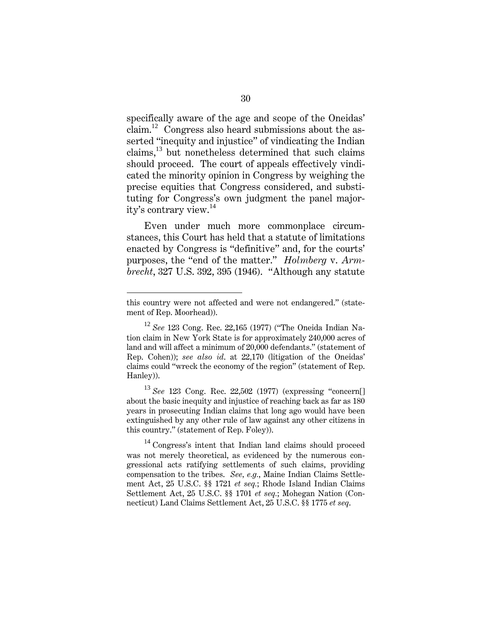specifically aware of the age and scope of the Oneidas' claim.<sup>12</sup> Congress also heard submissions about the asserted "inequity and injustice" of vindicating the Indian claims,<sup>13</sup> but nonetheless determined that such claims should proceed. The court of appeals effectively vindicated the minority opinion in Congress by weighing the precise equities that Congress considered, and substituting for Congress's own judgment the panel majority's contrary view.<sup>14</sup>

Even under much more commonplace circumstances, this Court has held that a statute of limitations enacted by Congress is "definitive" and, for the courts' purposes, the "end of the matter." *Holmberg* v. *Armbrecht*, 327 U.S. 392, 395 (1946). "Although any statute

 $\overline{a}$ 

this country were not affected and were not endangered." (statement of Rep. Moorhead)).

<sup>12</sup> *See* 123 Cong. Rec. 22,165 (1977) ("The Oneida Indian Nation claim in New York State is for approximately 240,000 acres of land and will affect a minimum of 20,000 defendants." (statement of Rep. Cohen)); *see also id*. at 22,170 (litigation of the Oneidas' claims could "wreck the economy of the region" (statement of Rep. Hanley)).

<sup>13</sup> *See* 123 Cong. Rec. 22,502 (1977) (expressing "concern[] about the basic inequity and injustice of reaching back as far as 180 years in prosecuting Indian claims that long ago would have been extinguished by any other rule of law against any other citizens in this country." (statement of Rep. Foley)).

<sup>&</sup>lt;sup>14</sup> Congress's intent that Indian land claims should proceed was not merely theoretical, as evidenced by the numerous congressional acts ratifying settlements of such claims, providing compensation to the tribes. *See, e.g.*, Maine Indian Claims Settlement Act, 25 U.S.C. §§ 1721 *et seq.*; Rhode Island Indian Claims Settlement Act, 25 U.S.C. §§ 1701 *et seq.*; Mohegan Nation (Connecticut) Land Claims Settlement Act, 25 U.S.C. §§ 1775 *et seq*.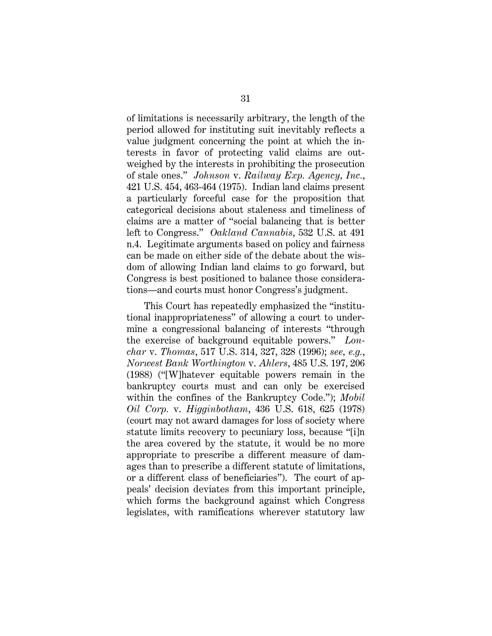of limitations is necessarily arbitrary, the length of the period allowed for instituting suit inevitably reflects a value judgment concerning the point at which the interests in favor of protecting valid claims are outweighed by the interests in prohibiting the prosecution of stale ones." *Johnson* v. *Railway Exp. Agency, Inc.*, 421 U.S. 454, 463-464 (1975). Indian land claims present a particularly forceful case for the proposition that categorical decisions about staleness and timeliness of claims are a matter of "social balancing that is better left to Congress." *Oakland Cannabis*, 532 U.S. at 491 n.4. Legitimate arguments based on policy and fairness can be made on either side of the debate about the wisdom of allowing Indian land claims to go forward, but Congress is best positioned to balance those considerations—and courts must honor Congress's judgment.

This Court has repeatedly emphasized the "institutional inappropriateness" of allowing a court to undermine a congressional balancing of interests "through the exercise of background equitable powers." *Lonchar* v. *Thomas*, 517 U.S. 314, 327, 328 (1996); *see, e.g.*, *Norwest Bank Worthington* v. *Ahlers*, 485 U.S. 197, 206 (1988) ("[W]hatever equitable powers remain in the bankruptcy courts must and can only be exercised within the confines of the Bankruptcy Code."); *Mobil Oil Corp.* v. *Higginbotham*, 436 U.S. 618, 625 (1978) (court may not award damages for loss of society where statute limits recovery to pecuniary loss, because "[i]n the area covered by the statute, it would be no more appropriate to prescribe a different measure of damages than to prescribe a different statute of limitations, or a different class of beneficiaries"). The court of appeals' decision deviates from this important principle, which forms the background against which Congress legislates, with ramifications wherever statutory law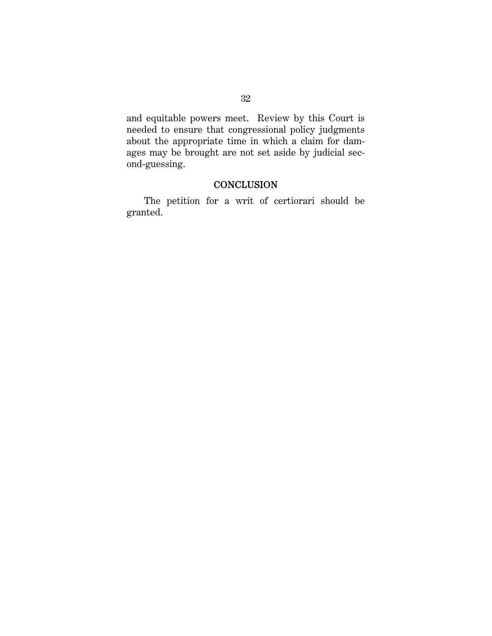and equitable powers meet. Review by this Court is needed to ensure that congressional policy judgments about the appropriate time in which a claim for damages may be brought are not set aside by judicial second-guessing.

## **CONCLUSION**

The petition for a writ of certiorari should be granted.